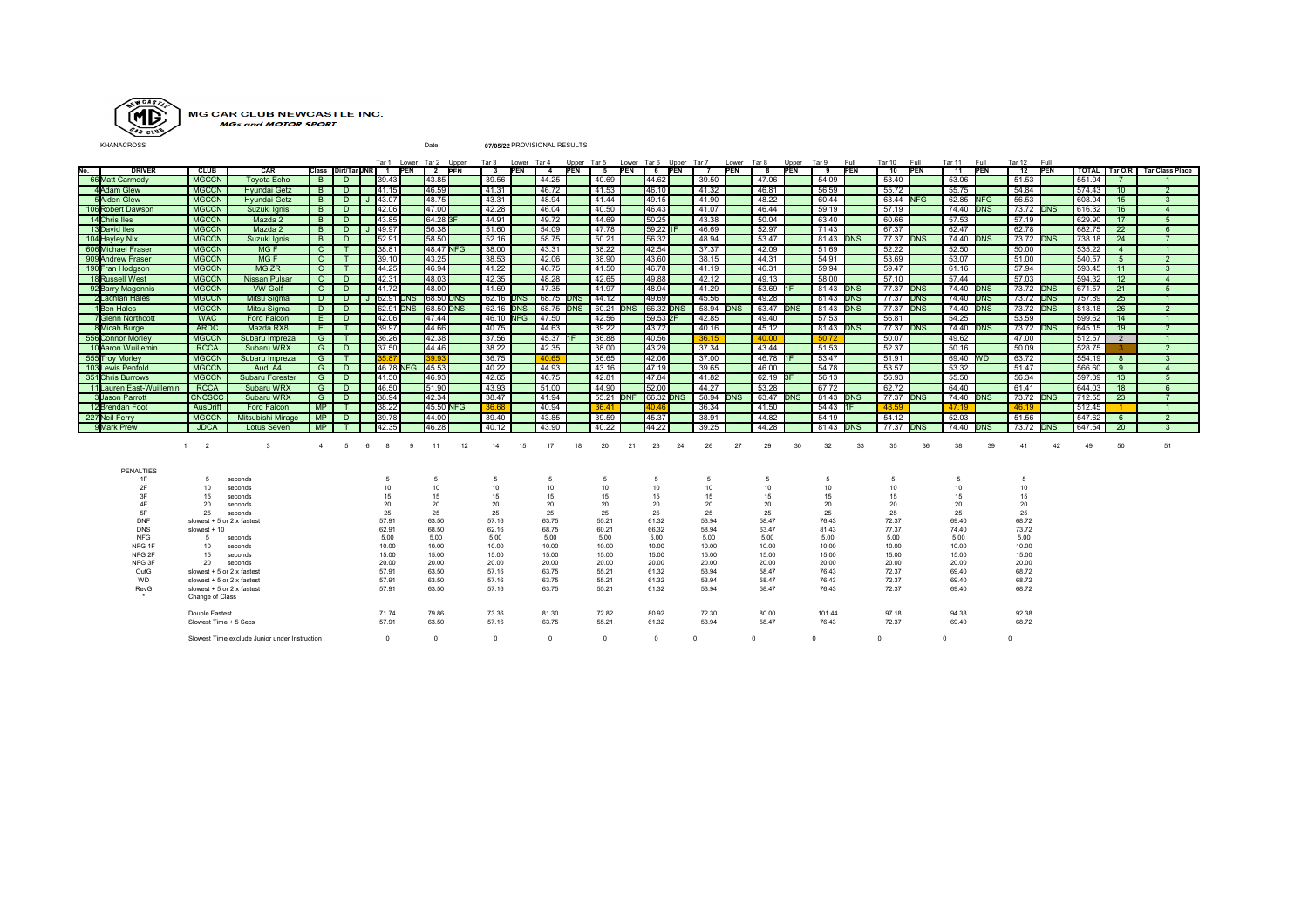

## MG CAR CLUB NEWCASTLE INC.<br>MGs and MOTOR SPORT

KHANACROSS Date **07/05/22** PROVISIONAL RESULTS

|                          |                                               |                        |                |        |   |               |                 | Tar 1 Lower Tar 2 Upper        |    |                  | Tar3 Lower Tar4  |                  |            |                  |             |               |           | Upper Tar5 Lower Tar6 Upper Tar7 | Lower Tar8 |                  | Upper Tar 9 |                  | Full | Tar 10 Full      |            | Tar 11 Full      |            | Tar 12 Full      |    |        |                |                                   |
|--------------------------|-----------------------------------------------|------------------------|----------------|--------|---|---------------|-----------------|--------------------------------|----|------------------|------------------|------------------|------------|------------------|-------------|---------------|-----------|----------------------------------|------------|------------------|-------------|------------------|------|------------------|------------|------------------|------------|------------------|----|--------|----------------|-----------------------------------|
| <b>DRIVER</b><br>No.     | <b>CLUB</b>                                   | CAR                    |                |        |   |               |                 | Class Dirt/Tar JNR 1 PEN 2 PEN |    |                  | 3 PEN            | $\overline{4}$   | <b>PEN</b> |                  | 5 PEN 6 PEN |               |           | $\overline{7}$                   | <b>PEN</b> | $_{\rm 8}$       | PEN         | 9 PEN            |      | $-10$            | <b>PEN</b> | $-11$            | <b>PEN</b> | 12 PEN           |    |        |                | TOTAL   Tar O/R   Tar Class Place |
| 66 Matt Carmody          | <b>MGCCN</b>                                  | <b>Toyota Echo</b>     | B              | D.     |   | 39.43         |                 | 43.85                          |    | 39.56            |                  | 44.25            |            | 40.69            |             | 44.62         |           | 39.50                            |            | 47.06            |             | 54.09            |      | 53.40            |            | 53.06            |            | 51.53            |    | 551.04 |                |                                   |
| 4Adam Glew               | <b>MGCCN</b>                                  | <b>Hvundai Getz</b>    | $\overline{B}$ | D      |   | 41.15         |                 | 46.59                          |    | 41.31            |                  | 46.72            |            | 41.53            |             | 46.10         |           | 41.32                            |            | 46.81            |             | 56.59            |      | 55.72            |            | 55.75            |            | 54.84            |    | 574.43 | 10             | $\overline{2}$                    |
| <b>5Aiden Glew</b>       | <b>MGCCN</b>                                  | <b>Hvundai Getz</b>    | B.             | D      |   | 43.07         |                 | 48.75                          |    | 43.31            |                  | 48.94            |            | 41.44            |             | 49.15         |           | 41.90                            |            | 48.22            |             | 60.44            |      | 63.44 NFG        |            | 62.85 NFG        |            | 56.53            |    | 608.04 | 15             | $\mathbf{3}$                      |
| 106 Robert Dawson        | <b>MGCCN</b>                                  | Suzuki lanis           | B.             | $\Box$ |   | 42.06         |                 | 47.00                          |    | 42.28            |                  | 46.04            |            | 40.50            |             | 46.43         |           | 41.07                            |            | 46.44            |             | 59.19            |      | 57.19            |            | 74.40 <b>DNS</b> |            | 73.72 <b>DNS</b> |    | 616.32 | 16             | $\mathbf{A}$                      |
| 14 Chris Iles            | <b>MGCCN</b>                                  | Mazda 2                | B.             | D.     |   | 43.85         |                 | 64.28 3F                       |    | 44.91            |                  | 49.72            |            | 44.69            |             | 50.25         |           | 43.38                            |            | 50.04            |             | 63.40            |      | 60.66            |            | 57.53            |            | 57.19            |    | 629.90 | 17             |                                   |
| 13 David Iles            | <b>MGCCN</b>                                  | Mazda 2                | B.             | D.     |   | 49.97         |                 | 56.38                          |    | 51.60            |                  | 54.09            |            | 47.78            |             | 59.22 1       |           | 46.69                            |            | 52.97            |             | 71.43            |      | 67.37            |            | 62.47            |            | 62.78            |    | 682.75 | 22             | 6                                 |
| 104 Hayley Nix           | <b>MGCCN</b>                                  | Suzuki Ignis           | B              | D      |   | 52.91         |                 | 58.50                          |    | 52.16            |                  | 58.75            |            | 50.21            |             | 56.32         |           | 48.94                            |            | 53.47            |             | 81.43 <b>DNS</b> |      | 77.37 <b>DNS</b> |            | 74.40 DNS        |            | 73.72 <b>DNS</b> |    | 738.18 | 24             |                                   |
| 606 Michael Fraser       | <b>MGCCN</b>                                  | MG <sub>F</sub>        | $\mathbf{C}$   | T      |   | 38.81         |                 | 48.47 NFG                      |    | 38.00            |                  | 43.31            |            | 38.22            |             | 42.54         |           | 37.37                            |            | 42.09            |             | 51.69            |      | 52.22            |            | 52.50            |            | 50.00            |    | 535.22 | $\overline{4}$ |                                   |
| 909 Andrew Fraser        | <b>MGCCN</b>                                  | MG <sub>F</sub>        | $\mathsf{C}$   | T      |   | 39.10         |                 | 43.25                          |    | 38.53            |                  | 42.06            |            | 38.90            |             | 43.60         |           | 38.15                            |            | 44.31            |             | 54.91            |      | 53.69            |            | 53.07            |            | 51.00            |    | 540.57 | $\overline{5}$ |                                   |
| 190 Fran Hodgson         | <b>MGCCN</b>                                  | MG ZR                  | $\mathbf{C}$   | T      |   | 44.25         |                 | 46.94                          |    | 41.22            |                  | 46.75            |            | 41.50            |             | 46.78         |           | 41.19                            |            | 46.31            |             | 59.94            |      | 59.47            |            | 61.16            |            | 57.94            |    | 593.45 | 11             |                                   |
| 18 Russell West          | <b>MGCCN</b>                                  | <b>Nissan Pulsar</b>   | $\mathbf{C}$   | D      |   | 42.31         |                 | 48.03                          |    | 42.35            |                  | 48.28            |            | 42.65            |             | 49.88         |           | 42.12                            |            | 49.13            |             | 58.00            |      | 57.10            |            | 57.44            |            | 57.03            |    | 594.32 | 12             | $\overline{4}$                    |
| 92 Barry Magennis        | <b>MGCCN</b>                                  | <b>VW Golf</b>         | $\mathbf{C}$   | D.     |   | 41.72         |                 | 48.00                          |    | 41.69            |                  | 47.35            |            | 41.97            |             | 48.94         |           | 41.29                            |            | 53.69 1F         |             | 81.43 <b>DNS</b> |      | 77.37 <b>DNS</b> |            | 74.40 <b>DNS</b> |            | 73.72 <b>DNS</b> |    | 671.57 | 21             |                                   |
| 2 Lachlan Hales          | <b>MGCCN</b>                                  | Mitsu Sigma            | D.             | D      |   | 62.91 DNS     |                 | 68.50 DNS                      |    | 62.16 <b>DNS</b> |                  | 68.75 DNS        |            | 44.12            |             | 49.69         |           | 45.56                            |            | 49.28            |             | 81.43 <b>DNS</b> |      | 77.37            | <b>DNS</b> | 74.40 <b>DNS</b> |            | 73.72 <b>DNS</b> |    | 757.89 | 25             | $\overline{1}$                    |
| 1Ben Hales               | <b>MGCCN</b>                                  | Mitsu Siama            | D              | D      |   |               | 62.91 DNS       | 68.50 DNS                      |    |                  | 62.16 <b>DNS</b> | 68.75 <b>DNS</b> |            | 60.21 <b>DNS</b> |             |               | 66.32 DNS | 58.94 <b>DNS</b>                 |            | 63.47 <b>DNS</b> |             | 81.43 <b>DNS</b> |      | 77.37 DNS        |            | 74.40 <b>DNS</b> |            | 73.72 <b>DNS</b> |    | 818.18 | 26             | $\overline{2}$                    |
| <b>7</b> Glenn Northcott | <b>WAC</b>                                    | Ford Falcon            | E.             | D.     |   | 42.06         |                 | 47.44                          |    |                  | 46.10 NFG        | 47.50            |            | 42.56            |             | 59.53 2F      |           | 42.85                            |            | 49.40            |             | 57.53            |      | 56.81            |            | 54.25            |            | 53.59            |    | 599.62 | 14             | $\overline{1}$                    |
| 8 Micah Burge            | <b>ARDC</b>                                   | Mazda RX8              | E.             | T      |   | 39.97         |                 | 44.66                          |    | 40.75            |                  | 44.63            |            | 39.22            |             | 43.72         |           | 40.16                            |            | 45.12            |             | 81.43 <b>DNS</b> |      | 77.37 <b>DNS</b> |            | 74.40 <b>DNS</b> |            | 73.72 <b>DNS</b> |    | 645.15 | 19             | $\overline{2}$                    |
| 556 Connor Morley        | <b>MGCCN</b>                                  | Subaru Impreza         | G              | T      |   | 36.26         |                 | 42.38                          |    | 37.56            |                  | 45.37            |            | 36.88            |             | 40.56         |           | 36.15                            |            | 40.00            |             | 50.72            |      | 50.07            |            | 49.62            |            | 47.00            |    | 512.57 | 2              | $\overline{1}$                    |
| 10 Aaron Wuillemin       | <b>RCCA</b>                                   | Subaru WRX             | G              | D      |   | 37.50         |                 | 44.46                          |    | 38.22            |                  | 42.35            |            | 38.00            |             | 43.29         |           | 37.34                            |            | 43.44            |             | 51.53            |      | 52.37            |            | 50.16            |            | 50.09            |    | 528.75 |                | $\overline{2}$                    |
| 555 Trov Morley          | <b>MGCCN</b>                                  | Subaru Impreza         | G              | T      |   |               |                 |                                |    | 36.75            |                  | 40.65            |            | 36.65            |             | 42.06         |           | 37.00                            |            | 46.78 IF         |             | 53.47            |      | 51.91            |            | 69.40 WD         |            | 63.72            |    | 554.19 | 8              | $\mathbf{3}$                      |
| 103Lewis Penfold         | <b>MGCCN</b>                                  | Audi A4                | G              | D      |   |               | 46.78 NFG 45.53 |                                |    | 40.22            |                  | 44.93            |            | 43.16            |             | 47.19         |           | 39.65                            |            | 46.00            |             | 54.78            |      | 53.57            |            | 53.32            |            | 51.47            |    | 566.60 | 9              |                                   |
| 351 Chris Burrows        | <b>MGCCN</b>                                  | <b>Subaru Forester</b> | G              | $\Box$ |   | 41.50         |                 | 46.93                          |    | 42.65            |                  | 46.75            |            | 42.81            |             | 47.84         |           | 41.82                            |            | 62.19 3F         |             | 56.13            |      | 56.93            |            | 55.50            |            | 56.34            |    | 597.39 | 13             | $-5$                              |
| 11 Lauren East-Wuillemin | <b>RCCA</b>                                   | Subaru WRX             | G.             | D.     |   | 46.50         |                 | 51.90                          |    | 43.93            |                  | 51.00            |            | 44.90            |             | 52.00         |           | 44.27                            |            | 53.28            |             | 67.72            |      | 62.72            |            | 64.40            |            | 61.41            |    | 644.03 | 18             |                                   |
| 3Uason Parrott           | <b>CNCSCC</b>                                 | Subaru WRX             | G              | $\Box$ |   | 38.94         |                 | 42.34                          |    | 38.47            |                  | 41.94            |            | 55.21 DNF        |             |               | 66.32 DNS | 58.94 <b>DNS</b>                 |            | 63.47 DNS        |             | 81.43 <b>DNS</b> |      | 77.37 <b>DNS</b> |            | 74.40 <b>DNS</b> |            | 73.72 <b>DNS</b> |    | 712.55 | 23             |                                   |
| 12 Brendan Foot          | <b>AusDrift</b>                               | Ford Falcon            | <b>MP</b>      | T      |   | 38.22         |                 | 45.50 NFG                      |    | 36.68            |                  | 40.94            |            | 36.41            |             | 10.46         |           | 36.34                            |            | 41.50            |             | 54.43 IF         |      | 48.59            |            | 47.19            |            | 46.19            |    | 512.45 |                |                                   |
| 227 Neil Ferry           | <b>MGCCN</b>                                  | Mitsubishi Mirage      | MP             | D.     |   | 39.78         |                 | 44.00                          |    | 39.40            |                  | 43.85            |            | 39.59            |             | 45.37         |           | 38.91                            |            | 44.82            |             | 54.19            |      | 54.12            |            | 52.03            |            | 51.56            |    | 547.62 | 6              | $\overline{2}$                    |
| 9 Mark Prew              | <b>JDCA</b>                                   | Lotus Seven            | <b>MP</b>      |        |   | 42.35         |                 | 46.28                          |    | 40.12            |                  | 43.90            |            | 40.22            |             | 44.22         |           | 39.25                            |            | 44.28            |             | 81.43 <b>DNS</b> |      | 77.37 <b>DNS</b> |            | 74.40 <b>DNS</b> |            | 73.72 <b>DNS</b> |    | 647.54 | 20             |                                   |
|                          |                                               |                        |                |        |   |               |                 |                                |    |                  |                  |                  |            |                  |             |               |           |                                  |            |                  |             |                  |      |                  |            |                  |            |                  |    |        |                |                                   |
|                          | $1 \quad 2$                                   | 3                      | 4              | 5      | 6 | 8             | 9               | 11                             | 12 | 14               | 15               | 17               | 18         | 20               | 21          | 23            | 24        | 26                               | 27         | 29               | 30          | 32               | 33   | 35               | 36         | 38               | 39         | 41               | 42 | 49     | 50             | 51                                |
|                          |                                               |                        |                |        |   |               |                 |                                |    |                  |                  |                  |            |                  |             |               |           |                                  |            |                  |             |                  |      |                  |            |                  |            |                  |    |        |                |                                   |
|                          |                                               |                        |                |        |   |               |                 |                                |    |                  |                  |                  |            |                  |             |               |           |                                  |            |                  |             |                  |      |                  |            |                  |            |                  |    |        |                |                                   |
| PENALTIES                |                                               |                        |                |        |   |               |                 |                                |    |                  |                  |                  |            |                  |             |               |           |                                  |            |                  |             |                  |      |                  |            |                  |            |                  |    |        |                |                                   |
| 1F<br>2F                 | 5                                             | seconds                |                |        |   | 5<br>10       |                 | 5<br>10                        |    | 5<br>10          |                  | 5<br>10          |            | -5<br>10         |             | 5<br>10       |           | 5<br>10                          |            | 5<br>10          |             | 5<br>10          |      | -5<br>10         |            | -5<br>10         |            | 5<br>10          |    |        |                |                                   |
| 3F                       | 10<br>15                                      | seconds<br>seconds     |                |        |   | 15            |                 | 15                             |    | 15               |                  | 15               |            | 15               |             | 15            |           | 15                               |            | 15               |             | 15               |      | 15               |            | 15               |            | 15               |    |        |                |                                   |
| 4F                       | 20                                            | seconds                |                |        |   | 20            |                 | 20                             |    | 20               |                  | 20               |            | 20               |             | 20            |           | 20                               |            | 20               |             | 20               |      | 20               |            | 20               |            | 20               |    |        |                |                                   |
| 5F                       | 25                                            | seconds                |                |        |   | 25            |                 | 25                             |    | 25               |                  | 25               |            | 25               |             | 25            |           | 25                               |            | 25               |             | 25               |      | 25               |            | 25               |            | 25               |    |        |                |                                   |
| DNF                      | slowest $+5$ or 2 x fastest                   |                        |                |        |   | 57.91         |                 | 63.50                          |    | 57.16            |                  | 63.75            |            | 55.21            |             | 61.32         |           | 53.94                            |            | 58.47            |             | 76.43            |      | 72.37            |            | 69.40            |            | 68.72            |    |        |                |                                   |
| <b>DNS</b>               | slowest $+10$                                 |                        |                |        |   | 62.91         |                 | 68.50                          |    | 62.16            |                  | 68.75            |            | 60.21            |             | 66.32         |           | 58.94                            |            | 63.47            |             | 81.43            |      | 77.37            |            | 74.40            |            | 73.72            |    |        |                |                                   |
| <b>NFG</b>               | 5                                             | seconds                |                |        |   | 5.00<br>10.00 |                 | 5.00<br>10.00                  |    | 5.00<br>10.00    |                  | 5.00<br>10.00    |            | 5.00             |             | 5.00<br>10.00 |           | 5.00<br>10.00                    |            | 5.00<br>10.00    |             | 5.00<br>10.00    |      | 5.00             |            | 5.00<br>10.00    |            | 5.00             |    |        |                |                                   |
| NFG 1F<br>NFG 2F         | 10<br>seconds                                 |                        |                |        |   | 15.00         |                 | 15.00                          |    | 15.00            |                  | 15.00            |            | 10.00<br>15.00   |             | 15.00         |           | 15.00                            |            | 15.00            |             | 15.00            |      | 10.00<br>15.00   |            | 15.00            |            | 10.00<br>15.00   |    |        |                |                                   |
| NFG 3F                   | 15<br>seconds<br>20<br>seconds                |                        |                |        |   | 20.00         |                 | 20.00                          |    | 20.00            |                  | 20.00            |            | 20.00            |             | 20.00         |           | 20.00                            |            | 20.00            |             | 20.00            |      | 20.00            |            | 20.00            |            | 20.00            |    |        |                |                                   |
| OutG                     | slowest + 5 or 2 x fastest                    |                        |                |        |   | 57.91         |                 | 63.50                          |    | 57.16            |                  | 63.75            |            | 55.21            |             | 61.32         |           | 53.94                            |            | 58.47            |             | 76.43            |      | 72.37            |            | 69.40            |            | 68.72            |    |        |                |                                   |
| WD                       | slowest + 5 or 2 x fastest                    |                        |                |        |   | 57.91         |                 | 63.50                          |    | 57.16            |                  | 63.75            |            | 55.21            |             | 61.32         |           | 53.94                            |            | 58.47            |             | 76.43            |      | 72.37            |            | 69.40            |            | 68.72            |    |        |                |                                   |
| RevG                     | slowest + 5 or 2 x fastest                    |                        |                |        |   | 57.91         |                 | 63.50                          |    | 57.16            |                  | 63.75            |            | 55.21            |             | 61.32         |           | 53.94                            |            | 58.47            |             | 76.43            |      | 72.37            |            | 69.40            |            | 68.72            |    |        |                |                                   |
|                          | Change of Class                               |                        |                |        |   |               |                 |                                |    |                  |                  |                  |            |                  |             |               |           |                                  |            |                  |             |                  |      |                  |            |                  |            |                  |    |        |                |                                   |
|                          | Double Fastest                                |                        |                |        |   | 71.74         |                 | 79.86                          |    | 73.36            |                  | 81.30            |            | 72.82            |             | 80.92         |           | 72.30                            |            | 80.00            |             | 101.44           |      | 97.18            |            | 94.38            |            | 92.38            |    |        |                |                                   |
|                          | Slowest Time + 5 Secs                         |                        |                |        |   | 57.91         |                 | 63.50                          |    | 57.16            |                  | 63.75            |            | 55.21            |             | 61.32         |           | 53.94                            |            | 58.47            |             | 76.43            |      | 72.37            |            | 69.40            |            | 68.72            |    |        |                |                                   |
|                          |                                               |                        |                |        |   |               |                 |                                |    |                  |                  |                  |            |                  |             |               |           |                                  |            |                  |             |                  |      |                  |            |                  |            |                  |    |        |                |                                   |
|                          | Slowest Time exclude Junior under Instruction |                        |                |        |   | $\Omega$      |                 | $\Omega$                       |    | $\Omega$         |                  | $\Omega$         |            | $^{\circ}$       |             | $\Omega$      |           | $\Omega$                         |            | $\Omega$         |             | $\Omega$         |      | $\Omega$         |            | $\Omega$         |            |                  |    |        |                |                                   |